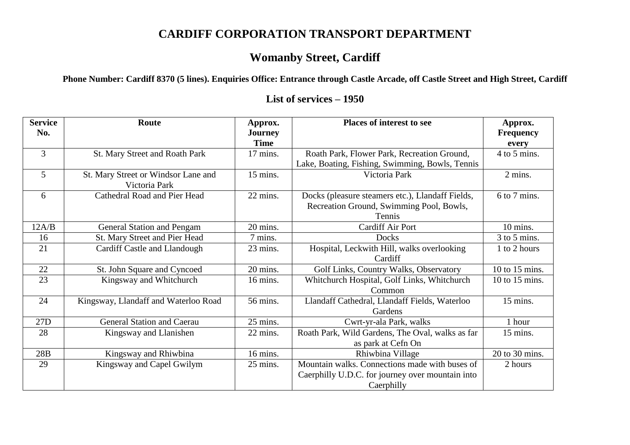## **CARDIFF CORPORATION TRANSPORT DEPARTMENT**

## **Womanby Street, Cardiff**

**Phone Number: Cardiff 8370 (5 lines). Enquiries Office: Entrance through Castle Arcade, off Castle Street and High Street, Cardiff**

## **List of services – 1950**

| <b>Service</b> | Route                                | Approx.        | Places of interest to see                        | Approx.          |
|----------------|--------------------------------------|----------------|--------------------------------------------------|------------------|
| No.            |                                      | <b>Journey</b> |                                                  | <b>Frequency</b> |
|                |                                      | <b>Time</b>    |                                                  | every            |
| $\overline{3}$ | St. Mary Street and Roath Park       | 17 mins.       | Roath Park, Flower Park, Recreation Ground,      | 4 to 5 mins.     |
|                |                                      |                | Lake, Boating, Fishing, Swimming, Bowls, Tennis  |                  |
| 5              | St. Mary Street or Windsor Lane and  | 15 mins.       | Victoria Park                                    | 2 mins.          |
|                | Victoria Park                        |                |                                                  |                  |
| 6              | Cathedral Road and Pier Head         | 22 mins.       | Docks (pleasure steamers etc.), Llandaff Fields, | 6 to 7 mins.     |
|                |                                      |                | Recreation Ground, Swimming Pool, Bowls,         |                  |
|                |                                      |                | Tennis                                           |                  |
| 12A/B          | <b>General Station and Pengam</b>    | 20 mins.       | <b>Cardiff Air Port</b>                          | 10 mins.         |
| 16             | St. Mary Street and Pier Head        | 7 mins.        | Docks                                            | 3 to 5 mins.     |
| 21             | Cardiff Castle and Llandough         | 23 mins.       | Hospital, Leckwith Hill, walks overlooking       | 1 to 2 hours     |
|                |                                      |                | Cardiff                                          |                  |
| 22             | St. John Square and Cyncoed          | 20 mins.       | Golf Links, Country Walks, Observatory           | 10 to 15 mins.   |
| 23             | Kingsway and Whitchurch              | 16 mins.       | Whitchurch Hospital, Golf Links, Whitchurch      | 10 to 15 mins.   |
|                |                                      |                | Common                                           |                  |
| 24             | Kingsway, Llandaff and Waterloo Road | 56 mins.       | Llandaff Cathedral, Llandaff Fields, Waterloo    | 15 mins.         |
|                |                                      |                | Gardens                                          |                  |
| 27D            | General Station and Caerau           | 25 mins.       | Cwrt-yr-ala Park, walks                          | 1 hour           |
| 28             | Kingsway and Llanishen               | 22 mins.       | Roath Park, Wild Gardens, The Oval, walks as far | 15 mins.         |
|                |                                      |                | as park at Cefn On                               |                  |
| 28B            | Kingsway and Rhiwbina                | 16 mins.       | Rhiwbina Village                                 | 20 to 30 mins.   |
| 29             | Kingsway and Capel Gwilym            | 25 mins.       | Mountain walks. Connections made with buses of   | 2 hours          |
|                |                                      |                | Caerphilly U.D.C. for journey over mountain into |                  |
|                |                                      |                | Caerphilly                                       |                  |